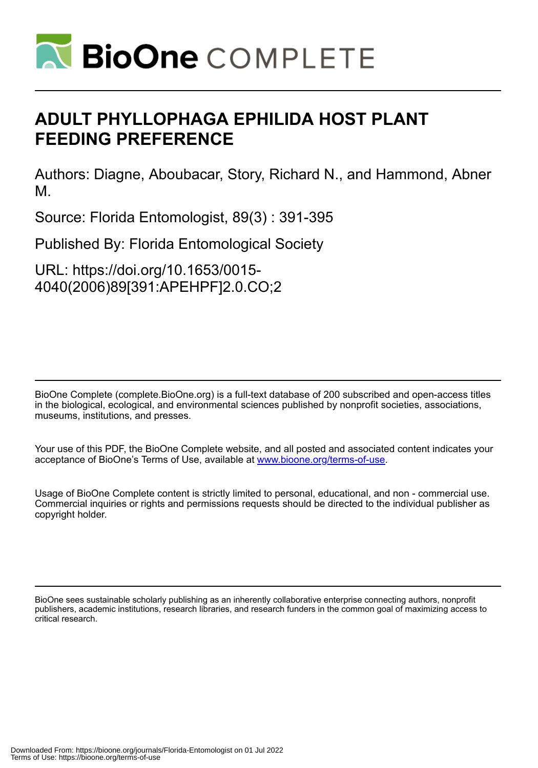

# **ADULT PHYLLOPHAGA EPHILIDA HOST PLANT FEEDING PREFERENCE**

Authors: Diagne, Aboubacar, Story, Richard N., and Hammond, Abner M.

Source: Florida Entomologist, 89(3) : 391-395

Published By: Florida Entomological Society

URL: https://doi.org/10.1653/0015- 4040(2006)89[391:APEHPF]2.0.CO;2

BioOne Complete (complete.BioOne.org) is a full-text database of 200 subscribed and open-access titles in the biological, ecological, and environmental sciences published by nonprofit societies, associations, museums, institutions, and presses.

Your use of this PDF, the BioOne Complete website, and all posted and associated content indicates your acceptance of BioOne's Terms of Use, available at www.bioone.org/terms-of-use.

Usage of BioOne Complete content is strictly limited to personal, educational, and non - commercial use. Commercial inquiries or rights and permissions requests should be directed to the individual publisher as copyright holder.

BioOne sees sustainable scholarly publishing as an inherently collaborative enterprise connecting authors, nonprofit publishers, academic institutions, research libraries, and research funders in the common goal of maximizing access to critical research.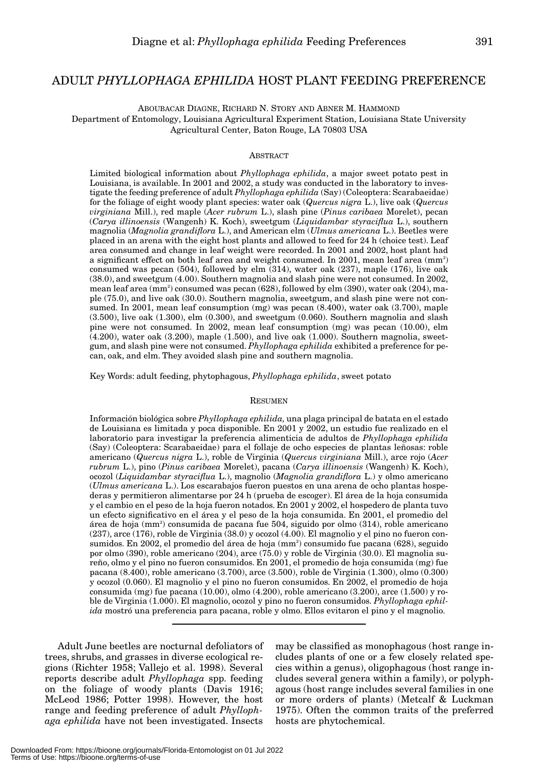# ADULT *PHYLLOPHAGA EPHILIDA* HOST PLANT FEEDING PREFERENCE

ABOUBACAR DIAGNE, RICHARD N. STORY AND ABNER M. HAMMOND Department of Entomology, Louisiana Agricultural Experiment Station, Louisiana State University Agricultural Center, Baton Rouge, LA 70803 USA

# **ABSTRACT**

Limited biological information about *Phyllophaga ephilida*, a major sweet potato pest in Louisiana, is available. In 2001 and 2002, a study was conducted in the laboratory to investigate the feeding preference of adult *Phyllophaga ephilida* (Say) (Coleoptera: Scarabaeidae) for the foliage of eight woody plant species: water oak (*Quercus nigra* L.), live oak (*Quercus virginiana* Mill.), red maple (*Acer rubrum* L.), slash pine (*Pinus caribaea* Morelet), pecan (*Carya illinoensis* (Wangenh) K. Koch), sweetgum (*Liquidambar styraciflua* L.), southern magnolia (*Magnolia grandiflora* L.), and American elm (*Ulmus americana* L.). Beetles were placed in an arena with the eight host plants and allowed to feed for 24 h (choice test). Leaf area consumed and change in leaf weight were recorded. In 2001 and 2002, host plant had a significant effect on both leaf area and weight consumed. In 2001, mean leaf area  $\text{(mm)}^2$ consumed was pecan (504), followed by elm (314), water oak (237), maple (176), live oak (38.0), and sweetgum (4.00). Southern magnolia and slash pine were not consumed. In 2002, mean leaf area (mm²) consumed was pecan (628), followed by elm (390), water oak (204), maple (75.0), and live oak (30.0). Southern magnolia, sweetgum, and slash pine were not consumed. In 2001, mean leaf consumption (mg) was pecan (8.400), water oak (3.700), maple  $(3.500)$ , live oak  $(1.300)$ , elm  $(0.300)$ , and sweetgum  $(0.060)$ . Southern magnolia and slash pine were not consumed. In 2002, mean leaf consumption (mg) was pecan (10.00), elm  $(4.200)$ , water oak  $(3.200)$ , maple  $(1.500)$ , and live oak  $(1.000)$ . Southern magnolia, sweetgum, and slash pine were not consumed. *Phyllophaga ephilida* exhibited a preference for pecan, oak, and elm. They avoided slash pine and southern magnolia.

Key Words: adult feeding, phytophagous, *Phyllophaga ephilida*, sweet potato

#### **RESUMEN**

Información biológica sobre *Phyllophaga ephilida,* una plaga principal de batata en el estado de Louisiana es limitada y poca disponible. En 2001 y 2002, un estudio fue realizado en el laboratorio para investigar la preferencia alimenticia de adultos de *Phyllophaga ephilida* (Say) (Coleoptera: Scarabaeidae) para el follaje de ocho especies de plantas leñosas: roble americano (*Quercus nigra* L.), roble de Virginia (*Quercus virginiana* Mill.), arce rojo (*Acer rubrum* L.), pino (*Pinus caribaea* Morelet), pacana (*Carya illinoensis* (Wangenh) K. Koch), ocozol (*Liquidambar styraciflua* L.), magnolio (*Magnolia grandiflora* L.) y olmo americano (*Ulmus americana* L.). Los escarabajos fueron puestos en una arena de ocho plantas hospederas y permitieron alimentarse por 24 h (prueba de escoger). El área de la hoja consumida y el cambio en el peso de la hoja fueron notados. En 2001 y 2002, el hospedero de planta tuvo un efecto significativo en el área y el peso de la hoja consumida. En 2001, el promedio del área de hoja (mm2 ) consumida de pacana fue 504, siguido por olmo (314), roble americano (237), arce (176), roble de Virginia (38.0) y ocozol (4.00). El magnolio y el pino no fueron consumidos. En 2002, el promedio del área de hoja (mm²) consumido fue pacana (628), seguido por olmo (390), roble americano (204), arce (75.0) y roble de Virginia (30.0). El magnolia sureño, olmo y el pino no fueron consumidos. En 2001, el promedio de hoja consumida (mg) fue pacana (8.400), roble americano (3.700), arce (3.500), roble de Virginia (1.300), olmo (0.300) y ocozol (0.060). El magnolio y el pino no fueron consumidos. En 2002, el promedio de hoja consumida (mg) fue pacana  $(10.00)$ , olmo  $(4.200)$ , roble americano  $(3.200)$ , arce  $(1.500)$  y roble de Virginia (1.000). El magnolio, ocozol y pino no fueron consumidos. *Phyllophaga ephilida* mostró una preferencia para pacana, roble y olmo. Ellos evitaron el pino y el magnolio.

Adult June beetles are nocturnal defoliators of trees, shrubs, and grasses in diverse ecological regions (Richter 1958; Vallejo et al. 1998). Several reports describe adult *Phyllophaga* spp. feeding on the foliage of woody plants (Davis 1916; McLeod 1986; Potter 1998). However, the host range and feeding preference of adult *Phyllophaga ephilida* have not been investigated. Insects

may be classified as monophagous (host range includes plants of one or a few closely related species within a genus), oligophagous (host range includes several genera within a family), or polyphagous (host range includes several families in one or more orders of plants) (Metcalf & Luckman 1975). Often the common traits of the preferred hosts are phytochemical.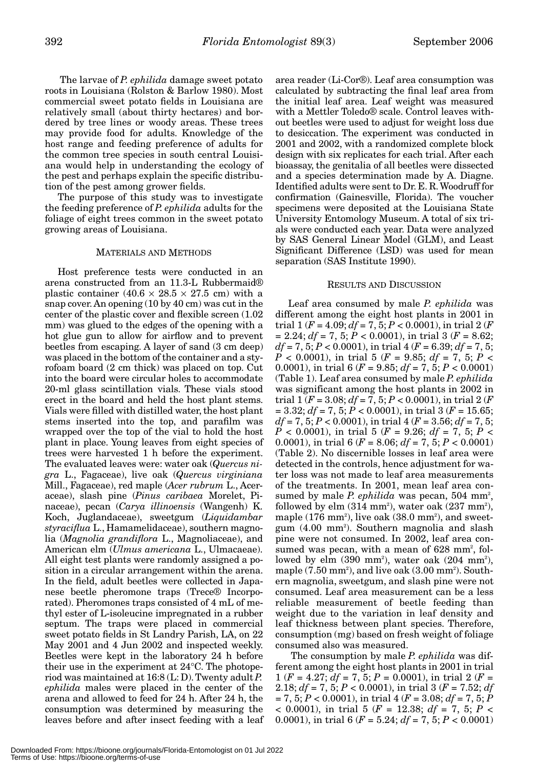The larvae of *P. ephilida* damage sweet potato roots in Louisiana (Rolston & Barlow 1980). Most commercial sweet potato fields in Louisiana are relatively small (about thirty hectares) and bordered by tree lines or woody areas. These trees may provide food for adults. Knowledge of the host range and feeding preference of adults for the common tree species in south central Louisiana would help in understanding the ecology of the pest and perhaps explain the specific distribution of the pest among grower fields.

The purpose of this study was to investigate the feeding preference of *P. ephilida* adults for the foliage of eight trees common in the sweet potato growing areas of Louisiana.

# MATERIALS AND METHODS

Host preference tests were conducted in an arena constructed from an 11.3-L Rubbermaid® plastic container  $(40.6 \times 28.5 \times 27.5$  cm) with a snap cover. An opening (10 by 40 cm) was cut in the center of the plastic cover and flexible screen (1.02 mm) was glued to the edges of the opening with a hot glue gun to allow for airflow and to prevent beetles from escaping. A layer of sand (3 cm deep) was placed in the bottom of the container and a styrofoam board (2 cm thick) was placed on top. Cut into the board were circular holes to accommodate 20-ml glass scintillation vials. These vials stood erect in the board and held the host plant stems. Vials were filled with distilled water, the host plant stems inserted into the top, and parafilm was wrapped over the top of the vial to hold the host plant in place. Young leaves from eight species of trees were harvested 1 h before the experiment. The evaluated leaves were: water oak (*Quercus nigra* L., Fagaceae), live oak (*Quercus virginiana* Mill., Fagaceae), red maple (*Acer rubrum* L., Aceraceae), slash pine (*Pinus caribaea* Morelet, Pinaceae), pecan (*Carya illinoensis* (Wangenh) K. Koch, Juglandaceae), sweetgum (*Liquidambar styraciflua* L., Hamamelidaceae), southern magnolia (*Magnolia grandiflora* L., Magnoliaceae), and American elm (*Ulmus americana* L., Ulmacaeae). All eight test plants were randomly assigned a position in a circular arrangement within the arena. In the field, adult beetles were collected in Japanese beetle pheromone traps (Trece® Incorporated). Pheromones traps consisted of 4 mL of methyl ester of L-isoleucine impregnated in a rubber septum. The traps were placed in commercial sweet potato fields in St Landry Parish, LA, on 22 May 2001 and 4 Jun 2002 and inspected weekly. Beetles were kept in the laboratory 24 h before their use in the experiment at 24°C. The photoperiod was maintained at 16:8 (L: D). Twenty adult *P. ephilida* males were placed in the center of the arena and allowed to feed for 24 h. After 24 h, the consumption was determined by measuring the leaves before and after insect feeding with a leaf

area reader (Li-Cor®). Leaf area consumption was calculated by subtracting the final leaf area from the initial leaf area. Leaf weight was measured with a Mettler Toledo® scale. Control leaves without beetles were used to adjust for weight loss due to desiccation. The experiment was conducted in 2001 and 2002, with a randomized complete block design with six replicates for each trial. After each bioassay, the genitalia of all beetles were dissected and a species determination made by A. Diagne. Identified adults were sent to Dr. E. R. Woodruff for confirmation (Gainesville, Florida). The voucher specimens were deposited at the Louisiana State University Entomology Museum. A total of six trials were conducted each year. Data were analyzed by SAS General Linear Model (GLM), and Least Significant Difference (LSD) was used for mean separation (SAS Institute 1990).

# RESULTS AND DISCUSSION

Leaf area consumed by male *P. ephilida* was different among the eight host plants in 2001 in trial 1 ( $F = 4.09$ ;  $df = 7, 5$ ;  $P < 0.0001$ ), in trial 2 ( $F$  $= 2.24$ ; *df* = 7, 5; *P* < 0.0001), in trial 3 (*F* = 8.62; *df* = 7, 5; *P* < 0.0001), in trial 4 (*F* = 6.39; *df* = 7, 5;  $P < 0.0001$ ), in trial 5 ( $F = 9.85$ ; *df* = 7, 5; *P* < 0.0001), in trial 6 (*F* = 9.85; *df* = 7, 5; *P* < 0.0001) (Table 1). Leaf area consumed by male *P. ephilida* was significant among the host plants in 2002 in trial 1 (*F* = 3.08; *df* = 7, 5; *P* < 0.0001), in trial 2 (*F* = 3.32; *df* = 7, 5; *P* < 0.0001), in trial 3 (*F* = 15.65;  $df = 7, 5; P < 0.0001$ , in trial 4 ( $F = 3.56; df = 7, 5;$ *P* < 0.0001), in trial 5 (*F* = 9.26; *df* = 7, 5; *P* < 0.0001), in trial 6 (*F* = 8.06; *df* = 7, 5; *P* < 0.0001) (Table 2). No discernible losses in leaf area were detected in the controls, hence adjustment for water loss was not made to leaf area measurements of the treatments. In 2001, mean leaf area consumed by male *P. ephilida* was pecan, 504 mm<sup>2</sup>, followed by elm  $(314 \text{ mm}^2)$ , water oak  $(237 \text{ mm}^2)$ , maple  $(176 \text{ mm}^2)$ , live oak  $(38.0 \text{ mm}^2)$ , and sweetgum (4.00 mm<sup>2</sup>). Southern magnolia and slash pine were not consumed. In 2002, leaf area consumed was pecan, with a mean of 628 mm<sup>2</sup>, followed by elm  $(390 \text{ mm}^2)$ , water oak  $(204 \text{ mm}^2)$ , maple  $(7.50 \text{ mm}^2)$ , and live oak  $(3.00 \text{ mm}^2)$ . Southern magnolia, sweetgum, and slash pine were not consumed. Leaf area measurement can be a less reliable measurement of beetle feeding than weight due to the variation in leaf density and leaf thickness between plant species. Therefore, consumption (mg) based on fresh weight of foliage consumed also was measured.

The consumption by male *P. ephilida* was different among the eight host plants in 2001 in trial 1 ( $F = 4.27$ ;  $df = 7$ , 5;  $P = 0.0001$ ), in trial 2 ( $F =$ 2.18; *df* = 7, 5; *P* < 0.0001), in trial 3 (*F* = 7.52; *df*  $= 7, 5; P < 0.0001$ , in trial  $4(F = 3.08; df = 7, 5; P$  $<$  0.0001), in trial 5 ( $F = 12.38$ ;  $df = 7$ , 5;  $P <$ 0.0001), in trial 6 (*F* = 5.24; *df* = 7, 5; *P* < 0.0001)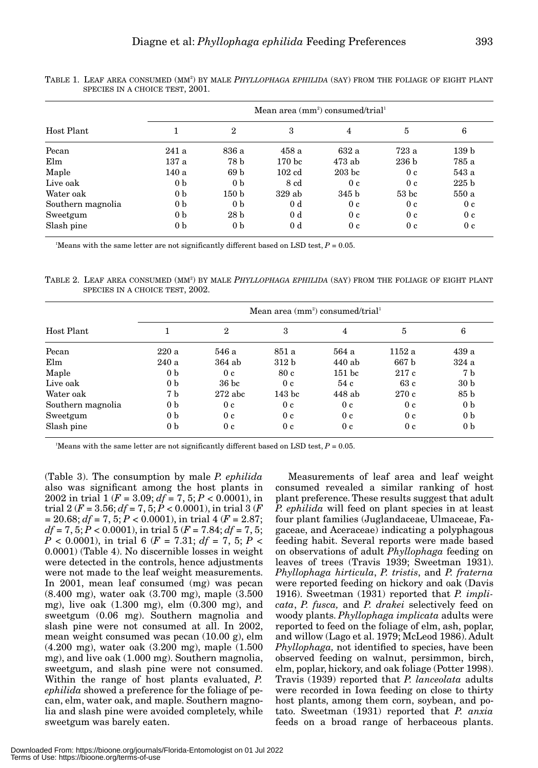| Host Plant        | Mean area $(mm^2)$ consumed/trial <sup>1</sup> |                  |                   |                |                  |                  |  |
|-------------------|------------------------------------------------|------------------|-------------------|----------------|------------------|------------------|--|
|                   |                                                | $\mathbf{2}$     | 3                 | 4              | 5                | 6                |  |
| Pecan             | 241 a                                          | 836 a            | 458 a             | 632 a          | 723 a            | 139 b            |  |
| Elm               | 137 a                                          | 78 b             | 170 <sub>bc</sub> | 473 ab         | 236 b            | 785 a            |  |
| Maple             | 140a                                           | 69 b             | $102 \text{ cd}$  | $203$ bc       | 0 <sub>c</sub>   | 543 a            |  |
| Live oak          | 0 <sub>b</sub>                                 | 0 <sub>b</sub>   | 8 cd              | 0 <sub>c</sub> | 0 <sub>c</sub>   | 225 <sub>b</sub> |  |
| Water oak         | 0 <sub>b</sub>                                 | 150 <sub>b</sub> | 329ab             | 345 b          | 53 <sub>bc</sub> | 550a             |  |
| Southern magnolia | 0 <sub>b</sub>                                 | 0 <sub>b</sub>   | 0 <sub>d</sub>    | 0 <sub>c</sub> | 0 <sub>c</sub>   | 0 <sub>c</sub>   |  |
| Sweetgum          | 0 <sub>b</sub>                                 | 28 <sub>b</sub>  | 0 <sub>d</sub>    | 0 <sub>c</sub> | 0 <sub>c</sub>   | 0 <sub>c</sub>   |  |
| Slash pine        | 0 <sub>b</sub>                                 | 0 <sub>b</sub>   | 0 <sub>d</sub>    | 0 <sub>c</sub> | 0 <sub>c</sub>   | 0 <sub>c</sub>   |  |

TABLE 1. LEAF AREA CONSUMED (MM2 ) BY MALE *PHYLLOPHAGA EPHILIDA* (SAY) FROM THE FOLIAGE OF EIGHT PLANT SPECIES IN A CHOICE TEST, 2001.

1 Means with the same letter are not significantly different based on LSD test, *P* = 0.05.

TABLE 2. LEAF AREA CONSUMED (MM2 ) BY MALE *PHYLLOPHAGA EPHILIDA* (SAY) FROM THE FOLIAGE OF EIGHT PLANT SPECIES IN A CHOICE TEST, 2002.

| Host Plant        | Mean area $(mm^2)$ consumed/trial <sup>1</sup> |                  |                 |                   |                |                 |  |
|-------------------|------------------------------------------------|------------------|-----------------|-------------------|----------------|-----------------|--|
|                   | 1                                              | $\mathbf{2}$     | 3               | 4                 | 5              | 6               |  |
| Pecan             | 220a                                           | 546 a            | 851 a           | 564 a             | 1152 a         | 439 a           |  |
| Elm               | 240a                                           | 364 ab           | 312 b           | 440ab             | 667 b          | 324a            |  |
| Maple             | 0 <sub>b</sub>                                 | 0 <sub>c</sub>   | 80c             | 151 <sub>bc</sub> | 217c           | 7 b             |  |
| Live oak          | 0 <sub>b</sub>                                 | 36 <sub>bc</sub> | 0 <sub>c</sub>  | 54 c              | 63 c           | 30 <sub>b</sub> |  |
| Water oak         | 7 b                                            | $272$ abc        | $143\ {\rm bc}$ | 448 ab            | 270c           | 85 b            |  |
| Southern magnolia | 0 <sub>b</sub>                                 | 0 <sub>c</sub>   | 0 <sub>c</sub>  | 0 <sub>c</sub>    | 0 <sub>c</sub> | 0 <sub>b</sub>  |  |
| Sweetgum          | 0 <sub>b</sub>                                 | 0 <sub>c</sub>   | 0 <sub>c</sub>  | 0 <sub>c</sub>    | 0 <sub>c</sub> | 0 <sub>b</sub>  |  |
| Slash pine        | 0 <sub>b</sub>                                 | 0 <sub>c</sub>   | 0 <sub>c</sub>  | 0 <sub>c</sub>    | 0 <sub>c</sub> | 0 <sub>b</sub>  |  |

1 Means with the same letter are not significantly different based on LSD test, *P* = 0.05.

(Table 3). The consumption by male *P. ephilida* also was significant among the host plants in 2002 in trial 1 (*F* = 3.09; *df* = 7, 5; *P* < 0.0001), in trial 2 ( $F = 3.56$ ;  $df = 7, 5$ ;  $P < 0.0001$ ), in trial 3 ( $F$ = 20.68; *df* = 7, 5; *P* < 0.0001), in trial 4 (*F* = 2.87;  $df = 7, 5; P < 0.0001$ , in trial  $5 (F = 7.84; df = 7, 5;$ *P* < 0.0001), in trial 6 (*F* = 7.31; *df* = 7, 5; *P* < 0.0001) (Table 4). No discernible losses in weight were detected in the controls, hence adjustments were not made to the leaf weight measurements. In 2001, mean leaf consumed (mg) was pecan (8.400 mg), water oak (3.700 mg), maple (3.500 mg), live oak (1.300 mg), elm (0.300 mg), and sweetgum (0.06 mg). Southern magnolia and slash pine were not consumed at all. In 2002, mean weight consumed was pecan (10.00 g), elm (4.200 mg), water oak (3.200 mg), maple (1.500 mg), and live oak (1.000 mg). Southern magnolia, sweetgum, and slash pine were not consumed. Within the range of host plants evaluated, *P. ephilida* showed a preference for the foliage of pecan, elm, water oak, and maple. Southern magnolia and slash pine were avoided completely, while sweetgum was barely eaten.

Measurements of leaf area and leaf weight consumed revealed a similar ranking of host plant preference. These results suggest that adult *P. ephilida* will feed on plant species in at least four plant families (Juglandaceae, Ulmaceae, Fagaceae, and Aceraceae) indicating a polyphagous feeding habit. Several reports were made based on observations of adult *Phyllophaga* feeding on leaves of trees (Travis 1939; Sweetman 1931). *Phyllophaga hirticula*, *P. tristis*, and *P. fraterna* were reported feeding on hickory and oak (Davis 1916). Sweetman (1931) reported that *P. implicata*, *P. fusca,* and *P. drakei* selectively feed on woody plants. *Phyllophaga implicata* adults were reported to feed on the foliage of elm, ash, poplar, and willow (Lago et al. 1979; McLeod 1986). Adult *Phyllophaga,* not identified to species, have been observed feeding on walnut, persimmon, birch, elm, poplar, hickory, and oak foliage (Potter 1998). Travis (1939) reported that *P. lanceolata* adults were recorded in Iowa feeding on close to thirty host plants, among them corn, soybean, and potato. Sweetman (1931) reported that *P. anxia* feeds on a broad range of herbaceous plants.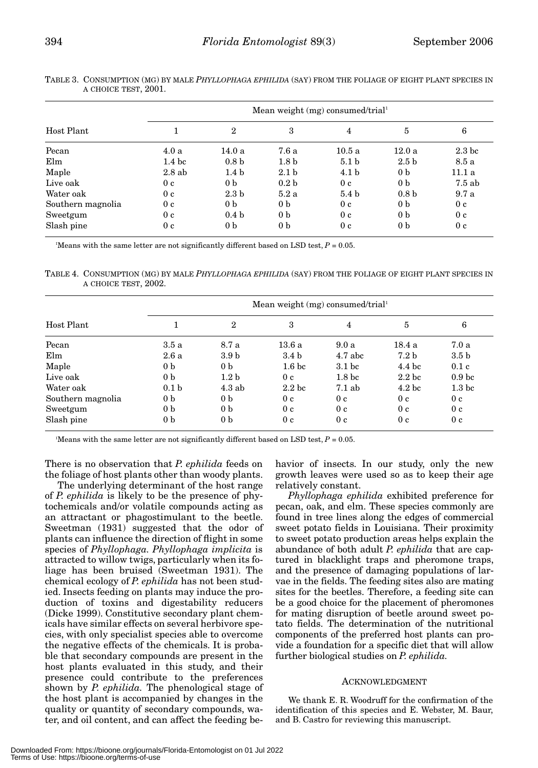| Host Plant        | Mean weight $(mg)$ consumed/trial <sup>1</sup> |                  |                  |                  |                  |                   |  |  |
|-------------------|------------------------------------------------|------------------|------------------|------------------|------------------|-------------------|--|--|
|                   | 1                                              | $\overline{2}$   | 3                | 4                | 5                | 6                 |  |  |
| Pecan             | 4.0a                                           | 14.0 a           | 7.6 a            | 10.5a            | 12.0a            | 2.3 <sub>bc</sub> |  |  |
| Elm               | 1.4 <sub>bc</sub>                              | 0.8 <sub>b</sub> | 1.8 <sub>b</sub> | 5.1 <sub>b</sub> | 2.5 <sub>b</sub> | 8.5 a             |  |  |
| Maple             | 2.8ab                                          | 1.4 <sub>b</sub> | 2.1 <sub>b</sub> | 4.1 <sub>b</sub> | 0 <sub>b</sub>   | 11.1 a            |  |  |
| Live oak          | 0 c                                            | 0 <sub>b</sub>   | 0.2 <sub>b</sub> | 0 <sub>c</sub>   | 0 <sub>b</sub>   | $7.5$ ab          |  |  |
| Water oak         | 0 c                                            | 2.3 <sub>b</sub> | 5.2a             | 5.4 <sub>b</sub> | 0.8 <sub>b</sub> | 9.7a              |  |  |
| Southern magnolia | 0 <sub>c</sub>                                 | 0 <sub>b</sub>   | 0 <sub>b</sub>   | 0 <sub>c</sub>   | 0 <sub>b</sub>   | 0 <sub>c</sub>    |  |  |
| Sweetgum          | 0 c                                            | 0.4 <sub>b</sub> | 0 <sub>b</sub>   | 0 <sub>c</sub>   | 0 <sub>b</sub>   | 0 <sub>c</sub>    |  |  |
| Slash pine        | 0 <sub>c</sub>                                 | 0 <sub>b</sub>   | 0 <sub>b</sub>   | 0 <sub>c</sub>   | 0 <sub>b</sub>   | 0 <sub>c</sub>    |  |  |

TABLE 3. CONSUMPTION (MG) BY MALE *PHYLLOPHAGA EPHILIDA* (SAY) FROM THE FOLIAGE OF EIGHT PLANT SPECIES IN A CHOICE TEST, 2001.

1 Means with the same letter are not significantly different based on LSD test, *P* = 0.05.

TABLE 4. CONSUMPTION (MG) BY MALE *PHYLLOPHAGA EPHILIDA* (SAY) FROM THE FOLIAGE OF EIGHT PLANT SPECIES IN A CHOICE TEST, 2002.

| Host Plant        | Mean weight $(mg)$ consumed/trial <sup>1</sup> |                  |                   |                   |                   |                   |  |
|-------------------|------------------------------------------------|------------------|-------------------|-------------------|-------------------|-------------------|--|
|                   |                                                | $\mathbf{2}$     | 3                 | 4                 | 5                 | 6                 |  |
| Pecan             | 3.5a                                           | 8.7 a            | 13.6a             | 9.0a              | 18.4a             | 7.0a              |  |
| Elm               | 2.6a                                           | 3.9 <sub>b</sub> | 3.4 <sub>b</sub>  | $4.7$ abc         | 7.2 <sub>b</sub>  | 3.5 <sub>b</sub>  |  |
| Maple             | 0 <sub>b</sub>                                 | 0 <sub>b</sub>   | 1.6 <sub>bc</sub> | 3.1 <sub>bc</sub> | $4.4 \text{ bc}$  | 0.1c              |  |
| Live oak          | 0 <sub>b</sub>                                 | 1.2 <sub>b</sub> | 0 <sub>c</sub>    | 1.8 <sub>bc</sub> | 2.2 <sub>bc</sub> | 0.9 <sub>bc</sub> |  |
| Water oak         | 0.1 <sub>b</sub>                               | $4.3$ ab         | 2.2 <sub>bc</sub> | $7.1$ ab          | 4.2 <sub>bc</sub> | 1.3 <sub>bc</sub> |  |
| Southern magnolia | 0 <sub>b</sub>                                 | 0 <sub>b</sub>   | 0 <sub>c</sub>    | 0 <sub>c</sub>    | 0 <sub>c</sub>    | 0 <sub>c</sub>    |  |
| Sweetgum          | 0 <sub>b</sub>                                 | 0 <sub>b</sub>   | 0 <sub>c</sub>    | 0 <sub>c</sub>    | 0 <sub>c</sub>    | 0 c               |  |
| Slash pine        | 0 <sub>b</sub>                                 | 0 <sub>b</sub>   | 0 <sub>c</sub>    | 0 <sub>c</sub>    | 0 <sub>c</sub>    | 0 c               |  |

1 Means with the same letter are not significantly different based on LSD test, *P* = 0.05.

There is no observation that *P. ephilida* feeds on the foliage of host plants other than woody plants.

The underlying determinant of the host range of *P. ephilida* is likely to be the presence of phytochemicals and/or volatile compounds acting as an attractant or phagostimulant to the beetle. Sweetman (1931) suggested that the odor of plants can influence the direction of flight in some species of *Phyllophaga. Phyllophaga implicita* is attracted to willow twigs, particularly when its foliage has been bruised (Sweetman 1931). The chemical ecology of *P. ephilida* has not been studied. Insects feeding on plants may induce the production of toxins and digestability reducers (Dicke 1999). Constitutive secondary plant chemicals have similar effects on several herbivore species, with only specialist species able to overcome the negative effects of the chemicals. It is probable that secondary compounds are present in the host plants evaluated in this study, and their presence could contribute to the preferences shown by *P. ephilida.* The phenological stage of the host plant is accompanied by changes in the quality or quantity of secondary compounds, water, and oil content, and can affect the feeding be-

havior of insects. In our study, only the new growth leaves were used so as to keep their age relatively constant.

*Phyllophaga ephilida* exhibited preference for pecan, oak, and elm. These species commonly are found in tree lines along the edges of commercial sweet potato fields in Louisiana. Their proximity to sweet potato production areas helps explain the abundance of both adult *P. ephilida* that are captured in blacklight traps and pheromone traps, and the presence of damaging populations of larvae in the fields. The feeding sites also are mating sites for the beetles. Therefore, a feeding site can be a good choice for the placement of pheromones for mating disruption of beetle around sweet potato fields. The determination of the nutritional components of the preferred host plants can provide a foundation for a specific diet that will allow further biological studies on *P. ephilida.*

#### ACKNOWLEDGMENT

We thank E. R. Woodruff for the confirmation of the identification of this species and E. Webster, M. Baur, and B. Castro for reviewing this manuscript.